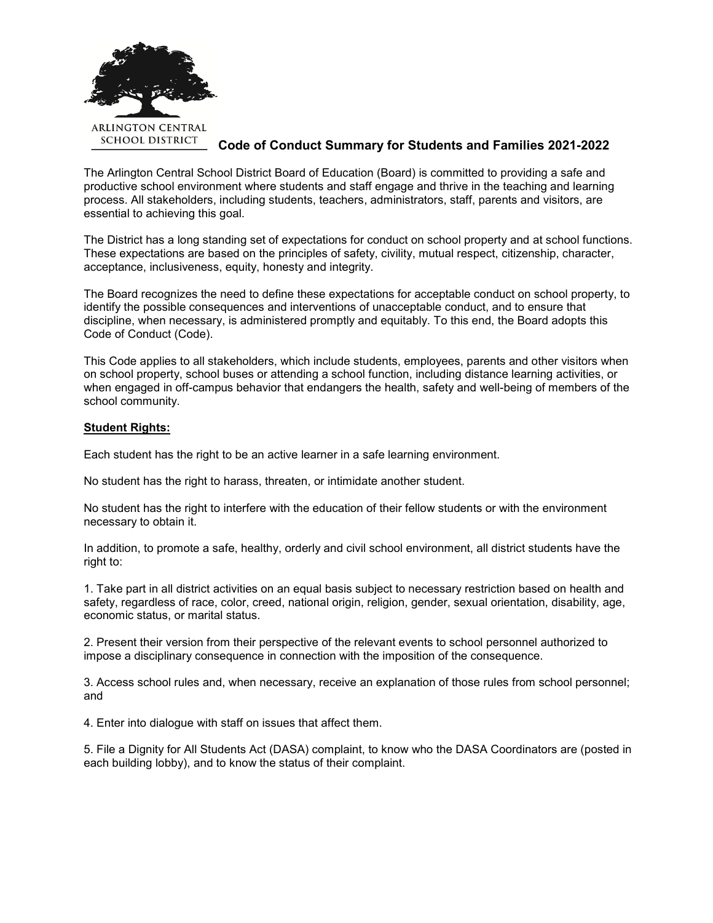

## **Code of Conduct Summary for Students and Families 2021-2022**

The Arlington Central School District Board of Education (Board) is committed to providing a safe and productive school environment where students and staff engage and thrive in the teaching and learning process. All stakeholders, including students, teachers, administrators, staff, parents and visitors, are essential to achieving this goal.

The District has a long standing set of expectations for conduct on school property and at school functions. These expectations are based on the principles of safety, civility, mutual respect, citizenship, character, acceptance, inclusiveness, equity, honesty and integrity.

The Board recognizes the need to define these expectations for acceptable conduct on school property, to identify the possible consequences and interventions of unacceptable conduct, and to ensure that discipline, when necessary, is administered promptly and equitably. To this end, the Board adopts this Code of Conduct (Code).

This Code applies to all stakeholders, which include students, employees, parents and other visitors when on school property, school buses or attending a school function, including distance learning activities, or when engaged in off-campus behavior that endangers the health, safety and well-being of members of the school community.

### **Student Rights:**

Each student has the right to be an active learner in a safe learning environment.

No student has the right to harass, threaten, or intimidate another student.

No student has the right to interfere with the education of their fellow students or with the environment necessary to obtain it.

In addition, to promote a safe, healthy, orderly and civil school environment, all district students have the right to:

1. Take part in all district activities on an equal basis subject to necessary restriction based on health and safety, regardless of race, color, creed, national origin, religion, gender, sexual orientation, disability, age, economic status, or marital status.

2. Present their version from their perspective of the relevant events to school personnel authorized to impose a disciplinary consequence in connection with the imposition of the consequence.

3. Access school rules and, when necessary, receive an explanation of those rules from school personnel; and

4. Enter into dialogue with staff on issues that affect them.

5. File a Dignity for All Students Act (DASA) complaint, to know who the DASA Coordinators are (posted in each building lobby), and to know the status of their complaint.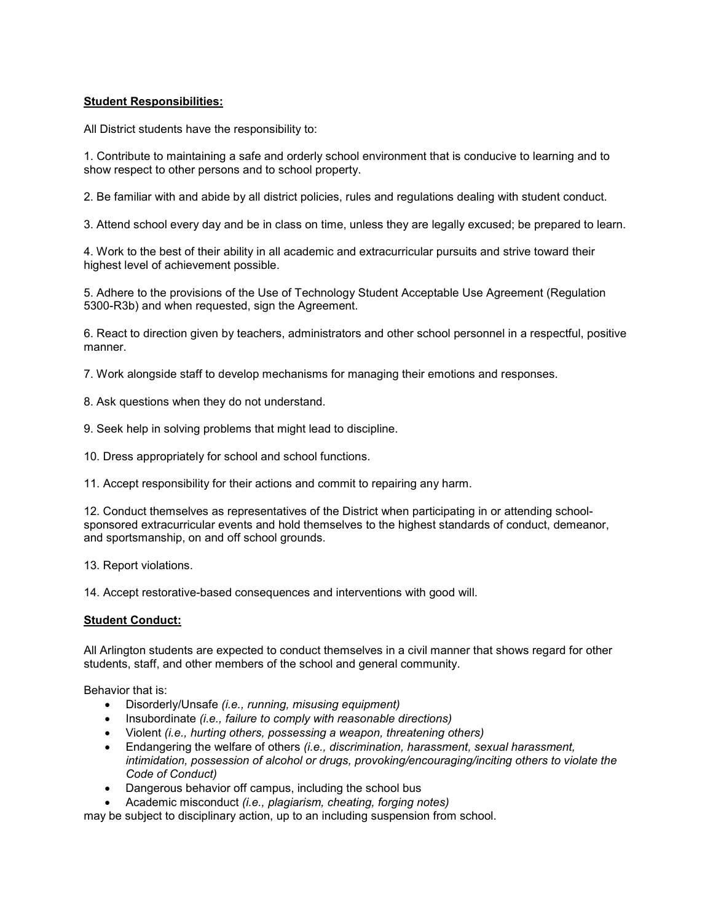## **Student Responsibilities:**

All District students have the responsibility to:

1. Contribute to maintaining a safe and orderly school environment that is conducive to learning and to show respect to other persons and to school property.

2. Be familiar with and abide by all district policies, rules and regulations dealing with student conduct.

3. Attend school every day and be in class on time, unless they are legally excused; be prepared to learn.

4. Work to the best of their ability in all academic and extracurricular pursuits and strive toward their highest level of achievement possible.

5. Adhere to the provisions of the Use of Technology Student Acceptable Use Agreement (Regulation 5300-R3b) and when requested, sign the Agreement.

6. React to direction given by teachers, administrators and other school personnel in a respectful, positive manner.

7. Work alongside staff to develop mechanisms for managing their emotions and responses.

8. Ask questions when they do not understand.

9. Seek help in solving problems that might lead to discipline.

10. Dress appropriately for school and school functions.

11. Accept responsibility for their actions and commit to repairing any harm.

12. Conduct themselves as representatives of the District when participating in or attending schoolsponsored extracurricular events and hold themselves to the highest standards of conduct, demeanor, and sportsmanship, on and off school grounds.

13. Report violations.

14. Accept restorative-based consequences and interventions with good will.

### **Student Conduct:**

All Arlington students are expected to conduct themselves in a civil manner that shows regard for other students, staff, and other members of the school and general community.

Behavior that is:

- Disorderly/Unsafe *(i.e., running, misusing equipment)*
- Insubordinate *(i.e., failure to comply with reasonable directions)*
- Violent *(i.e., hurting others, possessing a weapon, threatening others)*
- Endangering the welfare of others *(i.e., discrimination, harassment, sexual harassment, intimidation, possession of alcohol or drugs, provoking/encouraging/inciting others to violate the Code of Conduct)*
- Dangerous behavior off campus, including the school bus
- Academic misconduct *(i.e., plagiarism, cheating, forging notes)*

may be subject to disciplinary action, up to an including suspension from school.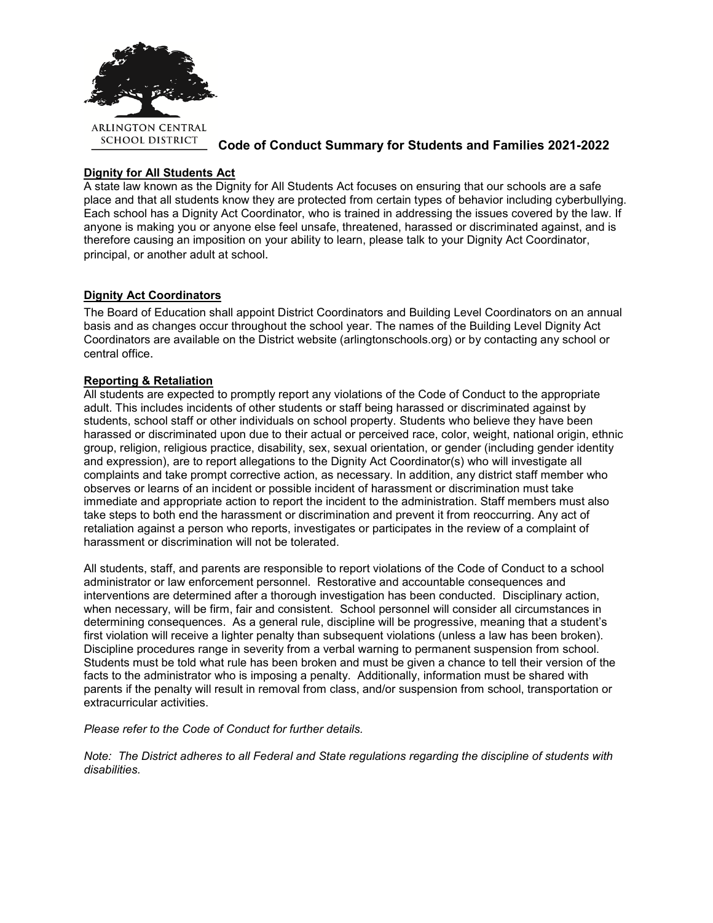

**Code of Conduct Summary for Students and Families 2021-2022**

# **Dignity for All Students Act**

A state law known as the Dignity for All Students Act focuses on ensuring that our schools are a safe place and that all students know they are protected from certain types of behavior including cyberbullying. Each school has a Dignity Act Coordinator, who is trained in addressing the issues covered by the law. If anyone is making you or anyone else feel unsafe, threatened, harassed or discriminated against, and is therefore causing an imposition on your ability to learn, please talk to your Dignity Act Coordinator, principal, or another adult at school.

## **Dignity Act Coordinators**

The Board of Education shall appoint District Coordinators and Building Level Coordinators on an annual basis and as changes occur throughout the school year. The names of the Building Level Dignity Act Coordinators are available on the District website (arlingtonschools.org) or by contacting any school or central office.

## **Reporting & Retaliation**

All students are expected to promptly report any violations of the Code of Conduct to the appropriate adult. This includes incidents of other students or staff being harassed or discriminated against by students, school staff or other individuals on school property. Students who believe they have been harassed or discriminated upon due to their actual or perceived race, color, weight, national origin, ethnic group, religion, religious practice, disability, sex, sexual orientation, or gender (including gender identity and expression), are to report allegations to the Dignity Act Coordinator(s) who will investigate all complaints and take prompt corrective action, as necessary. In addition, any district staff member who observes or learns of an incident or possible incident of harassment or discrimination must take immediate and appropriate action to report the incident to the administration. Staff members must also take steps to both end the harassment or discrimination and prevent it from reoccurring. Any act of retaliation against a person who reports, investigates or participates in the review of a complaint of harassment or discrimination will not be tolerated.

All students, staff, and parents are responsible to report violations of the Code of Conduct to a school administrator or law enforcement personnel. Restorative and accountable consequences and interventions are determined after a thorough investigation has been conducted. Disciplinary action, when necessary, will be firm, fair and consistent. School personnel will consider all circumstances in determining consequences. As a general rule, discipline will be progressive, meaning that a student's first violation will receive a lighter penalty than subsequent violations (unless a law has been broken). Discipline procedures range in severity from a verbal warning to permanent suspension from school. Students must be told what rule has been broken and must be given a chance to tell their version of the facts to the administrator who is imposing a penalty. Additionally, information must be shared with parents if the penalty will result in removal from class, and/or suspension from school, transportation or extracurricular activities.

*Please refer to the Code of Conduct for further details.*

*Note: The District adheres to all Federal and State regulations regarding the discipline of students with disabilities.*